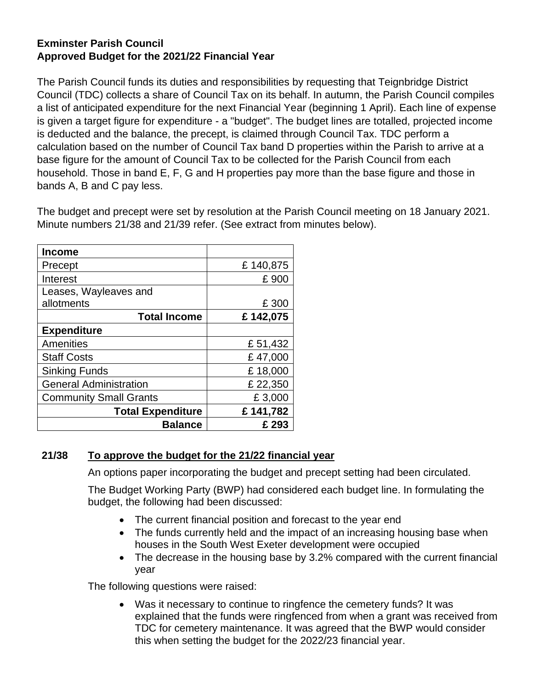## **Exminster Parish Council Approved Budget for the 2021/22 Financial Year**

The Parish Council funds its duties and responsibilities by requesting that Teignbridge District Council (TDC) collects a share of Council Tax on its behalf. In autumn, the Parish Council compiles a list of anticipated expenditure for the next Financial Year (beginning 1 April). Each line of expense is given a target figure for expenditure - a "budget". The budget lines are totalled, projected income is deducted and the balance, the precept, is claimed through Council Tax. TDC perform a calculation based on the number of Council Tax band D properties within the Parish to arrive at a base figure for the amount of Council Tax to be collected for the Parish Council from each household. Those in band E, F, G and H properties pay more than the base figure and those in bands A, B and C pay less.

The budget and precept were set by resolution at the Parish Council meeting on 18 January 2021. Minute numbers 21/38 and 21/39 refer. (See extract from minutes below).

| <b>Income</b>                 |          |
|-------------------------------|----------|
| Precept                       | £140,875 |
| Interest                      | £900     |
| Leases, Wayleaves and         |          |
| allotments                    | £ 300    |
| <b>Total Income</b>           | £142,075 |
| <b>Expenditure</b>            |          |
| Amenities                     | £51,432  |
| <b>Staff Costs</b>            | £47,000  |
| Sinking Funds                 | £18,000  |
| <b>General Administration</b> | £ 22,350 |
| <b>Community Small Grants</b> | £3,000   |
| <b>Total Expenditure</b>      | £141,782 |
| <b>Balance</b>                | £293     |

## **21/38 To approve the budget for the 21/22 financial year**

An options paper incorporating the budget and precept setting had been circulated.

The Budget Working Party (BWP) had considered each budget line. In formulating the budget, the following had been discussed:

- The current financial position and forecast to the year end
- The funds currently held and the impact of an increasing housing base when houses in the South West Exeter development were occupied
- The decrease in the housing base by 3.2% compared with the current financial year

The following questions were raised:

• Was it necessary to continue to ringfence the cemetery funds? It was explained that the funds were ringfenced from when a grant was received from TDC for cemetery maintenance. It was agreed that the BWP would consider this when setting the budget for the 2022/23 financial year.